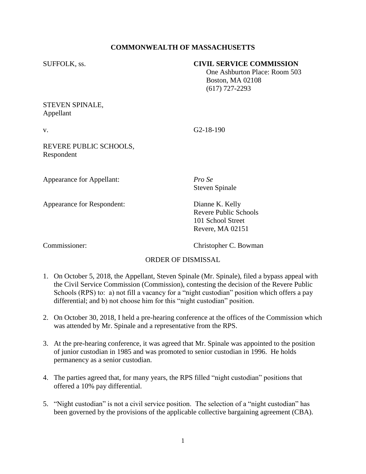# **COMMONWEALTH OF MASSACHUSETTS**

#### SUFFOLK, ss. **CIVIL SERVICE COMMISSION**

 One Ashburton Place: Room 503 Boston, MA 02108 (617) 727-2293

## STEVEN SPINALE, Appellant

 $V_{\rm c}$  G2-18-190

## REVERE PUBLIC SCHOOLS, Respondent

Appearance for Appellant: *Pro Se*

Appearance for Respondent: Dianne K. Kelly

Steven Spinale

Revere Public Schools 101 School Street Revere, MA 02151

Commissioner: Christopher C. Bowman

### ORDER OF DISMISSAL

- 1. On October 5, 2018, the Appellant, Steven Spinale (Mr. Spinale), filed a bypass appeal with the Civil Service Commission (Commission), contesting the decision of the Revere Public Schools (RPS) to: a) not fill a vacancy for a "night custodian" position which offers a pay differential; and b) not choose him for this "night custodian" position.
- 2. On October 30, 2018, I held a pre-hearing conference at the offices of the Commission which was attended by Mr. Spinale and a representative from the RPS.
- 3. At the pre-hearing conference, it was agreed that Mr. Spinale was appointed to the position of junior custodian in 1985 and was promoted to senior custodian in 1996. He holds permanency as a senior custodian.
- 4. The parties agreed that, for many years, the RPS filled "night custodian" positions that offered a 10% pay differential.
- 5. "Night custodian" is not a civil service position. The selection of a "night custodian" has been governed by the provisions of the applicable collective bargaining agreement (CBA).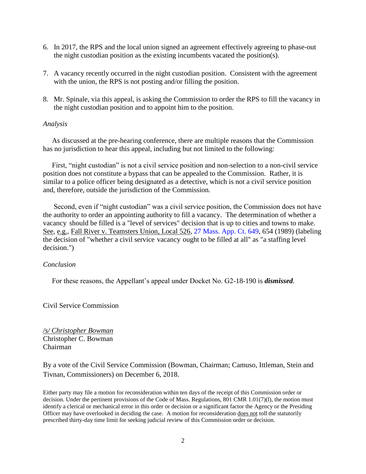- 6. In 2017, the RPS and the local union signed an agreement effectively agreeing to phase-out the night custodian position as the existing incumbents vacated the position(s).
- 7. A vacancy recently occurred in the night custodian position. Consistent with the agreement with the union, the RPS is not posting and/or filling the position.
- 8. Mr. Spinale, via this appeal, is asking the Commission to order the RPS to fill the vacancy in the night custodian position and to appoint him to the position.

#### *Analysis*

 As discussed at the pre-hearing conference, there are multiple reasons that the Commission has no jurisdiction to hear this appeal, including but not limited to the following:

 First, "night custodian" is not a civil service position and non-selection to a non-civil service position does not constitute a bypass that can be appealed to the Commission. Rather, it is similar to a police officer being designated as a detective, which is not a civil service position and, therefore, outside the jurisdiction of the Commission.

 Second, even if "night custodian" was a civil service position, the Commission does not have the authority to order an appointing authority to fill a vacancy. The determination of whether a vacanc[y](http://sll.gvpi.net/document.php?id=csc:0019809-0000000&type=hitlist&num=0#hit14) should be filled is a "level of services" decision that is up to cities and towns to make. See, e.g., Fall River v. Teamsters Union, Local 526, [27 Mass. App. Ct. 649,](http://sll.gvpi.net/document.php?field=jd&value=sjcapp:27_mass._app._ct._649) 654 (1989) (labeling the decision of "whether a civil service [v](http://sll.gvpi.net/document.php?id=csc:0019809-0000000&type=hitlist&num=0#hit14)acanc[y](http://sll.gvpi.net/document.php?id=csc:0019809-0000000&type=hitlist&num=0#hit16) ought to be filled at all" as "a staffing level decision.")

### *Conclusion*

For these reasons, the Appellant's appeal under Docket No. G2-18-190 is *dismissed*.

Civil Service Commission

*/s/ Christopher Bowman* Christopher C. Bowman Chairman

By a vote of the Civil Service Commission (Bowman, Chairman; Camuso, Ittleman, Stein and Tivnan, Commissioners) on December 6, 2018.

Either party may file a motion for reconsideration within ten days of the receipt of this Commission order or decision. Under the pertinent provisions of the Code of Mass. Regulations, 801 CMR 1.01(7)(l), the motion must identify a clerical or mechanical error in this order or decision or a significant factor the Agency or the Presiding Officer may have overlooked in deciding the case. A motion for reconsideration does not toll the statutorily prescribed thirty-day time limit for seeking judicial review of this Commission order or decision.